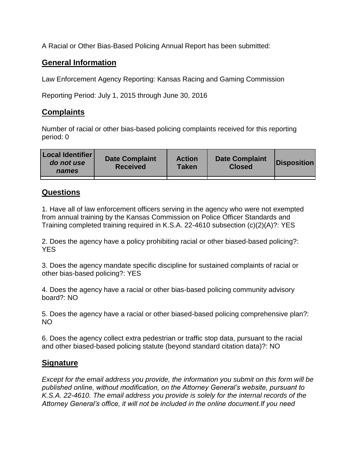A Racial or Other Bias-Based Policing Annual Report has been submitted:

## **General Information**

Law Enforcement Agency Reporting: Kansas Racing and Gaming Commission

Reporting Period: July 1, 2015 through June 30, 2016

## **Complaints**

Number of racial or other bias-based policing complaints received for this reporting period: 0

| <b>Local Identifier</b><br>do not use<br>names | <b>Date Complaint</b><br><b>Received</b> | <b>Action</b><br><b>Taken</b> | <b>Date Complaint</b><br><b>Closed</b> | Disposition |
|------------------------------------------------|------------------------------------------|-------------------------------|----------------------------------------|-------------|
|                                                |                                          |                               |                                        |             |

## **Questions**

1. Have all of law enforcement officers serving in the agency who were not exempted from annual training by the Kansas Commission on Police Officer Standards and Training completed training required in K.S.A. 22-4610 subsection (c)(2)(A)?: YES

2. Does the agency have a policy prohibiting racial or other biased-based policing?: YES

3. Does the agency mandate specific discipline for sustained complaints of racial or other bias-based policing?: YES

4. Does the agency have a racial or other bias-based policing community advisory board?: NO

5. Does the agency have a racial or other biased-based policing comprehensive plan?: NO

6. Does the agency collect extra pedestrian or traffic stop data, pursuant to the racial and other biased-based policing statute (beyond standard citation data)?: NO

## **Signature**

*Except for the email address you provide, the information you submit on this form will be published online, without modification, on the Attorney General's website, pursuant to K.S.A. 22-4610. The email address you provide is solely for the internal records of the Attorney General's office, it will not be included in the online document.If you need*